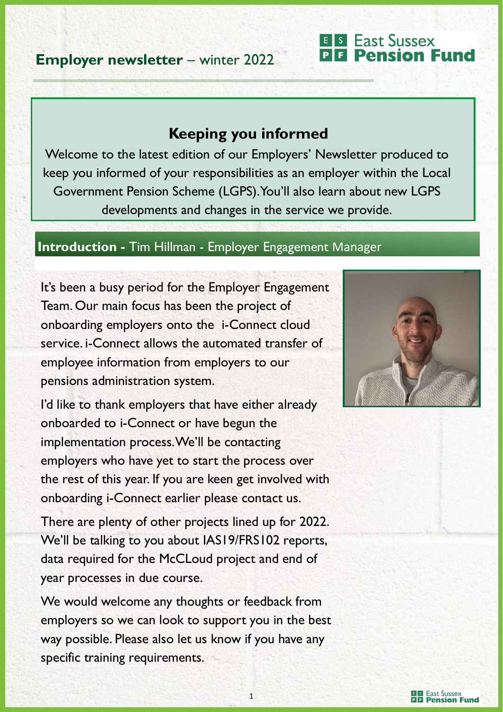### **Employer newsletter** – winter 2022

#### **Keeping you informed**

Welcome to the latest edition of our Employers' Newsletter produced to keep you informed of your responsibilities as an employer within the Local Government Pension Scheme (LGPS). You'll also learn about new LGPS developments and changes in the service we provide.

#### **Introduction -** Tim Hillman - Employer Engagement Manager

It's been a busy period for the Employer Engagement Team. Our main focus has been the project of onboarding employers onto the i-Connect cloud service. i-Connect allows the automated transfer of employee information from employers to our pensions administration system.

I'd like to thank employers that have either already onboarded to i-Connect or have begun the implementation process. We'll be contacting employers who have yet to start the process over the rest of this year. If you are keen get involved with onboarding i-Connect earlier please contact us.

There are plenty of other projects lined up for 2022. We'll be talking to you about IAS19/FRS102 reports, data required for the McCLoud project and end of year processes in due course.

We would welcome any thoughts or feedback from employers so we can look to support you in the best way possible. Please also let us know if you have any specific training requirements.



**E** S East Sussex

**BB** Pension Fund

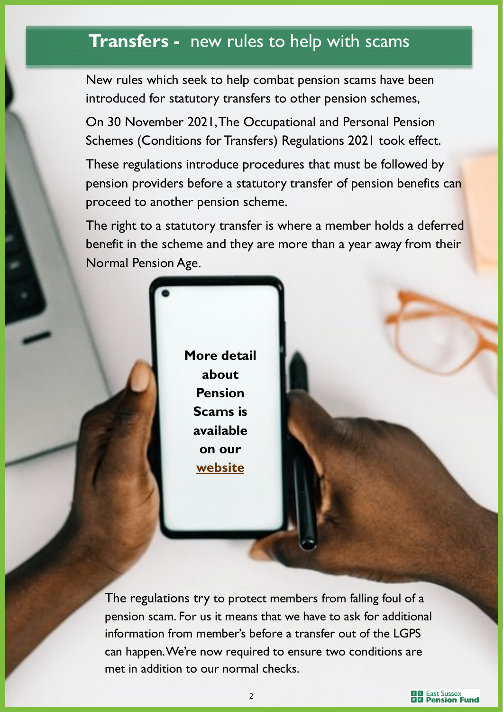### **Transfers -** new rules to help with scams

New rules which seek to help combat pension scams have been introduced for statutory transfers to other pension schemes,

On 30 November 2021, The Occupational and Personal Pension Schemes (Conditions for Transfers) Regulations 2021 took effect.

These regulations introduce procedures that must be followed by pension providers before a statutory transfer of pension benefits can proceed to another pension scheme.

The right to a statutory transfer is where a member holds a deferred benefit in the scheme and they are more than a year away from their Normal Pension Age.

> **More detail about Pension Scams is available on our [website](https://www.eastsussexpensionfund.org/help-support/avoiding-pension-scams/)**

The regulations try to protect members from falling foul of a pension scam. For us it means that we have to ask for additional information from member's before a transfer out of the LGPS can happen. We're now required to ensure two conditions are met in addition to our normal checks.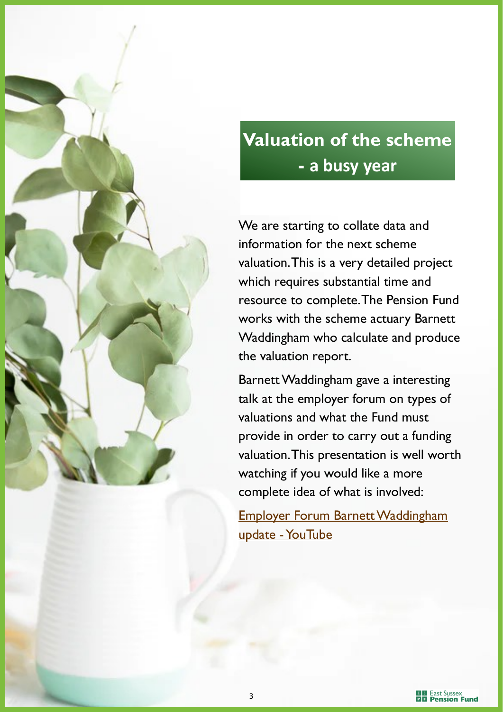

## **Valuation of the scheme - a busy year**

We are starting to collate data and information for the next scheme valuation. This is a very detailed project which requires substantial time and resource to complete. The Pension Fund works with the scheme actuary Barnett Waddingham who calculate and produce the valuation report.

Barnett Waddingham gave a interesting talk at the employer forum on types of valuations and what the Fund must provide in order to carry out a funding valuation. This presentation is well worth watching if you would like a more complete idea of what is involved:

[Employer Forum Barnett Waddingham](https://www.youtube.com/watch?v=6UEaCO_d84c)  update - YouTube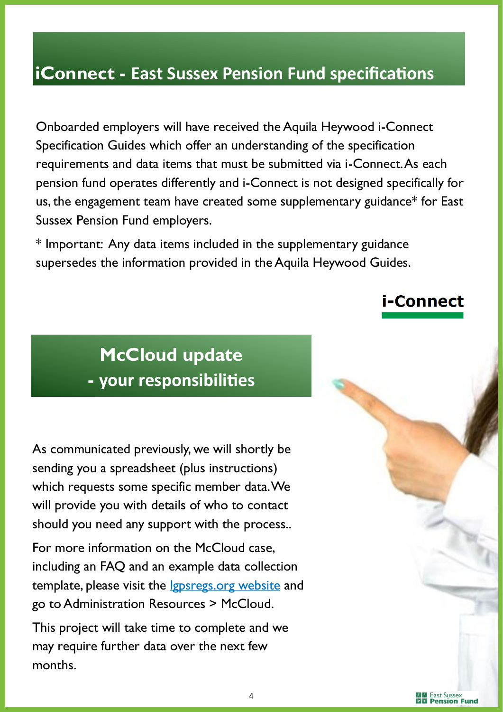## **iConnect - East Sussex Pension Fund specifications**

Onboarded employers will have received the Aquila Heywood i-Connect Specification Guides which offer an understanding of the specification requirements and data items that must be submitted via i-Connect. As each pension fund operates differently and i-Connect is not designed specifically for us, the engagement team have created some supplementary guidance\* for East Sussex Pension Fund employers.

\* Important: Any data items included in the supplementary guidance supersedes the information provided in the Aquila Heywood Guides.

#### i-Connect

# **McCloud update - your responsibilities**

As communicated previously, we will shortly be sending you a spreadsheet (plus instructions) which requests some specific member data. We will provide you with details of who to contact should you need any support with the process..

For more information on the McCloud case, including an FAQ and an example data collection template, please visit the *lgpsregs.org website* and go to Administration Resources > McCloud.

This project will take time to complete and we may require further data over the next few months.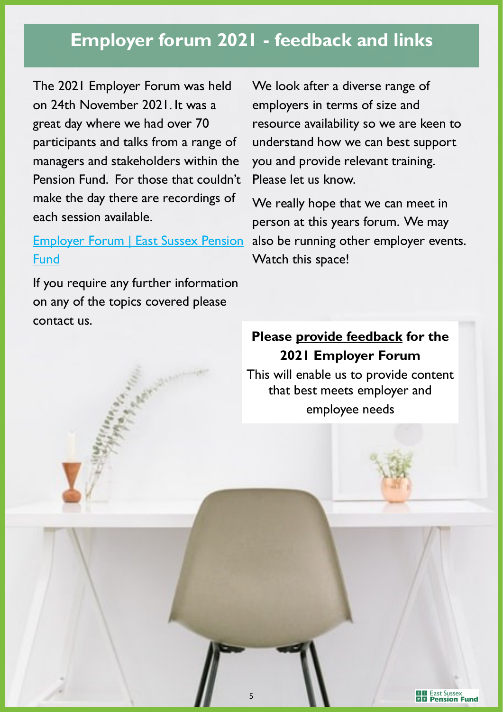## **Employer forum 2021 - feedback and links**

The 2021 Employer Forum was held on 24th November 2021. It was a great day where we had over 70 participants and talks from a range of managers and stakeholders within the Pension Fund. For those that couldn't make the day there are recordings of each session available.

#### [Employer Forum | East Sussex Pension](https://www.eastsussexpensionfund.org/about-the-scheme/employers/employer-forum/)  [Fund](https://www.eastsussexpensionfund.org/about-the-scheme/employers/employer-forum/)

If you require any further information on any of the topics covered please contact us.

We look after a diverse range of employers in terms of size and resource availability so we are keen to understand how we can best support you and provide relevant training. Please let us know.

We really hope that we can meet in person at this years forum. We may also be running other employer events. Watch this space!

#### **Please [provide feedback](mailto:employer.engagement@eastsussex.gov.uk) for the 2021 Employer Forum**

This will enable us to provide content that best meets employer and employee needs

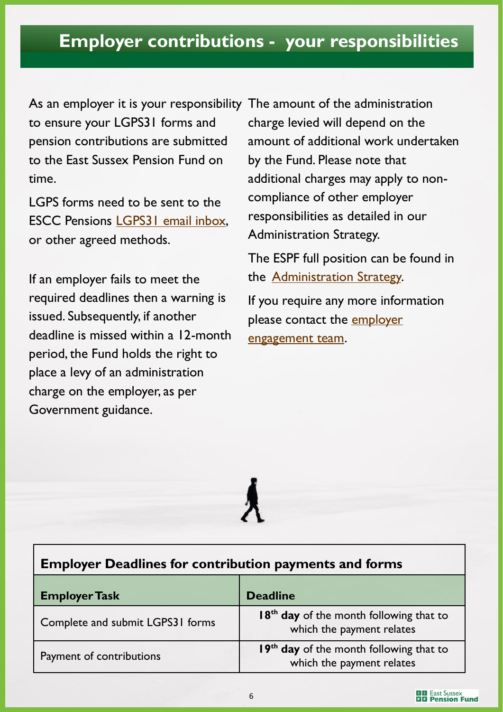### **Employer contributions - your responsibilities**

As an employer it is your responsibility The amount of the administration to ensure your LGPS31 forms and pension contributions are submitted to the East Sussex Pension Fund on time.

LGPS forms need to be sent to the ESCC Pensions [LGPS31 email inbox,](mailto:ESCC.PensionsLGPS31@eastsussex.gov.uk) or other agreed methods.

If an employer fails to meet the required deadlines then a warning is issued. Subsequently, if another deadline is missed within a 12-month period, the Fund holds the right to place a levy of an administration charge on the employer, as per Government guidance.

charge levied will depend on the amount of additional work undertaken by the Fund. Please note that additional charges may apply to noncompliance of other employer responsibilities as detailed in our Administration Strategy.

The ESPF full position can be found in the [Administration Strategy.](https://www.eastsussexpensionfund.org/media/dnvfjlgm/administration-strategy-east-sussex-pension-fund.pdf) 

If you require any more information please contact the [employer](mailto:employer.engagement@eastsussex.gov.uk)  [engagement team.](mailto:employer.engagement@eastsussex.gov.uk)

### **Employer Deadlines for contribution payments and forms**

| <b>Employer Task</b>             | <b>Deadline</b>                                                                  |  |
|----------------------------------|----------------------------------------------------------------------------------|--|
| Complete and submit LGPS31 forms | 18 <sup>th</sup> day of the month following that to<br>which the payment relates |  |
| Payment of contributions         | 19 <sup>th</sup> day of the month following that to<br>which the payment relates |  |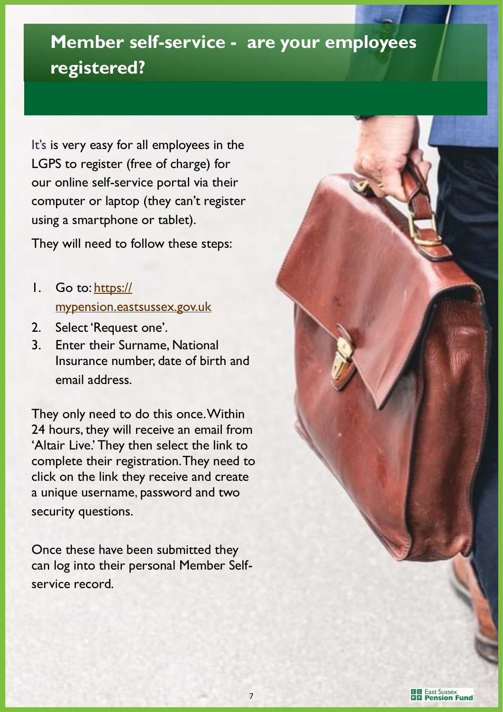# **Member self-service - are your employees registered?**

It's is very easy for all employees in the LGPS to register (free of charge) for our online self-service portal via their computer or laptop (they can't register using a smartphone or tablet).

They will need to follow these steps:

- 1. Go to: [https://](https://mypension.eastsussex.gov.uk/) [mypension.eastsussex.gov.uk](https://mypension.eastsussex.gov.uk/)
- 2. Select 'Request one'.
- 3. Enter their Surname, National Insurance number, date of birth and email address.

They only need to do this once. Within 24 hours, they will receive an email from 'Altair Live.' They then select the link to complete their registration. They need to click on the link they receive and create a unique username, password and two security questions.

Once these have been submitted they can log into their personal Member Selfservice record.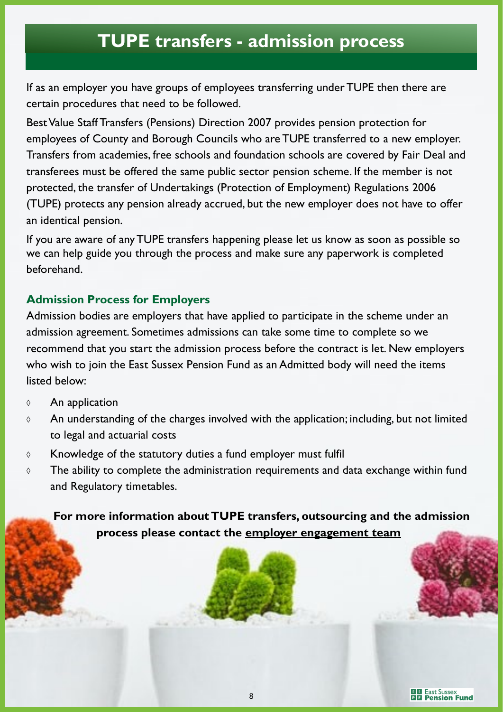## **TUPE transfers - admission process**

If as an employer you have groups of employees transferring under TUPE then there are certain procedures that need to be followed.

Best Value Staff Transfers (Pensions) Direction 2007 provides pension protection for employees of County and Borough Councils who are TUPE transferred to a new employer. Transfers from academies, free schools and foundation schools are covered by Fair Deal and transferees must be offered the same public sector pension scheme. If the member is not protected, the transfer of Undertakings (Protection of Employment) Regulations 2006 (TUPE) protects any pension already accrued, but the new employer does not have to offer an identical pension.

If you are aware of any TUPE transfers happening please let us know as soon as possible so we can help guide you through the process and make sure any paperwork is completed beforehand.

#### **Admission Process for Employers**

Admission bodies are employers that have applied to participate in the scheme under an admission agreement. Sometimes admissions can take some time to complete so we recommend that you start the admission process before the contract is let. New employers who wish to join the East Sussex Pension Fund as an Admitted body will need the items listed below:

- $\Diamond$  An application
- $\Diamond$  An understanding of the charges involved with the application; including, but not limited to legal and actuarial costs
- $\circ$  Knowledge of the statutory duties a fund employer must fulfil
- $\Diamond$  The ability to complete the administration requirements and data exchange within fund and Regulatory timetables.

 **For more information about TUPE transfers, outsourcing and the admission process please contact the [employer engagement team](mailto:employer.engagement@eastsussex.gov.uk)**